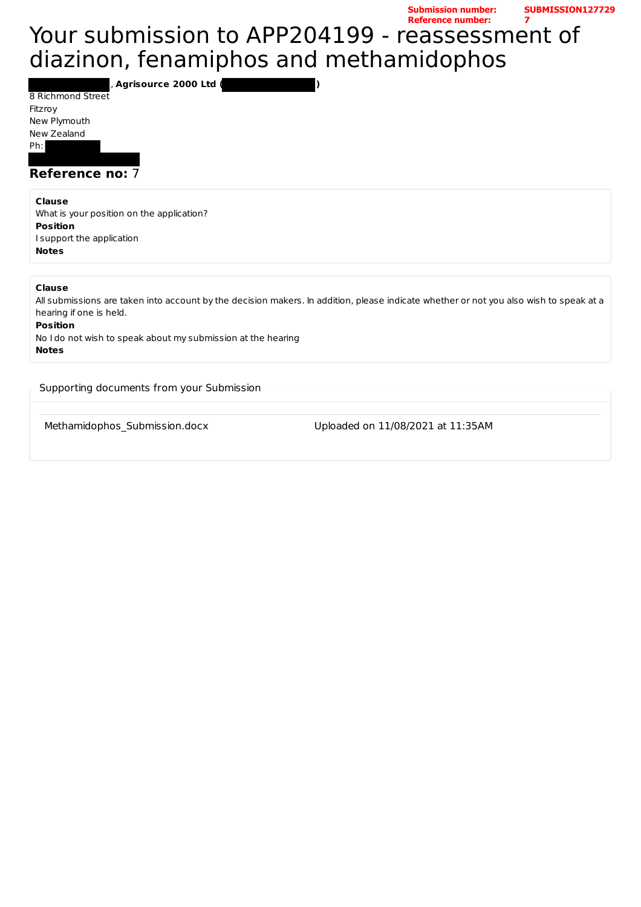## Your submission to APP204199 - reassessment of diazinon, fenamiphos and methamidophos **Reference number: 7**

, **Agrisource 2000 Ltd ( )**

8 Richmond Street Fitzroy New Plymouth New Zealand Ph: 

### **Reference no: 7**

#### **Clause**

What is your position on the application? **Position** I support the application **Notes**

### **Clause**

All submissions are taken into account by the decision makers. In addition, please indicate whether or not you also wish to speak at a hearing if one is held. **Position** No I do not wish to speak about my submission at the hearing **Notes**

Supporting documents from your Submission

Methamidophos\_Submission.docx Uploaded on 11/08/2021 at 11:35AM

**Submission number:** 

**SUBMISSION127729**